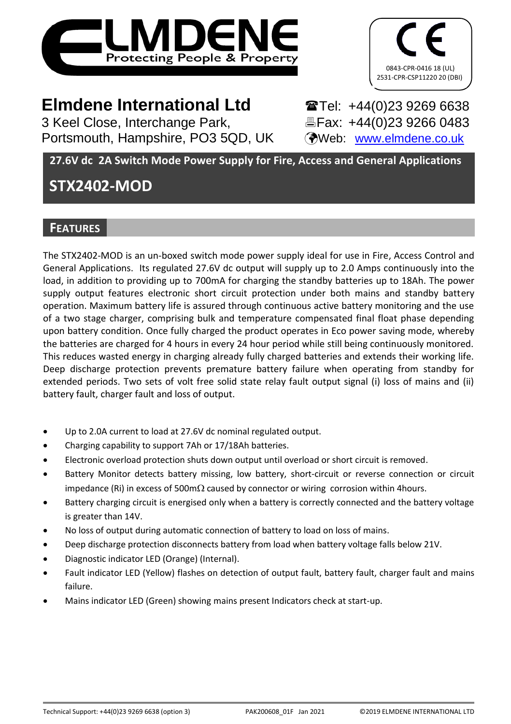



# **Elmdene International Ltd** Tel: +44(0)23 9269 6638

3 Keel Close, Interchange Park, Fax: +44(0)23 9266 0483 Portsmouth, Hampshire, PO3 5QD, UK (Web: [www.elmdene.co.uk](http://www.elmdene.co.uk/))

**27.6V dc 2A Switch Mode Power Supply for Fire, Access and General Applications**

# **STX2402-MOD**

# **FEATURES**

The STX2402-MOD is an un-boxed switch mode power supply ideal for use in Fire, Access Control and General Applications. Its regulated 27.6V dc output will supply up to 2.0 Amps continuously into the load, in addition to providing up to 700mA for charging the standby batteries up to 18Ah. The power supply output features electronic short circuit protection under both mains and standby battery operation. Maximum battery life is assured through continuous active battery monitoring and the use of a two stage charger, comprising bulk and temperature compensated final float phase depending upon battery condition. Once fully charged the product operates in Eco power saving mode, whereby the batteries are charged for 4 hours in every 24 hour period while still being continuously monitored. This reduces wasted energy in charging already fully charged batteries and extends their working life. Deep discharge protection prevents premature battery failure when operating from standby for extended periods. Two sets of volt free solid state relay fault output signal (i) loss of mains and (ii) battery fault, charger fault and loss of output.

- Up to 2.0A current to load at 27.6V dc nominal regulated output.
- Charging capability to support 7Ah or 17/18Ah batteries.
- Electronic overload protection shuts down output until overload or short circuit is removed.
- Battery Monitor detects battery missing, low battery, short-circuit or reverse connection or circuit impedance (Ri) in excess of 500m $\Omega$  caused by connector or wiring corrosion within 4hours.
- Battery charging circuit is energised only when a battery is correctly connected and the battery voltage is greater than 14V.
- No loss of output during automatic connection of battery to load on loss of mains.
- Deep discharge protection disconnects battery from load when battery voltage falls below 21V.
- Diagnostic indicator LED (Orange) (Internal).
- Fault indicator LED (Yellow) flashes on detection of output fault, battery fault, charger fault and mains failure.
- Mains indicator LED (Green) showing mains present Indicators check at start-up.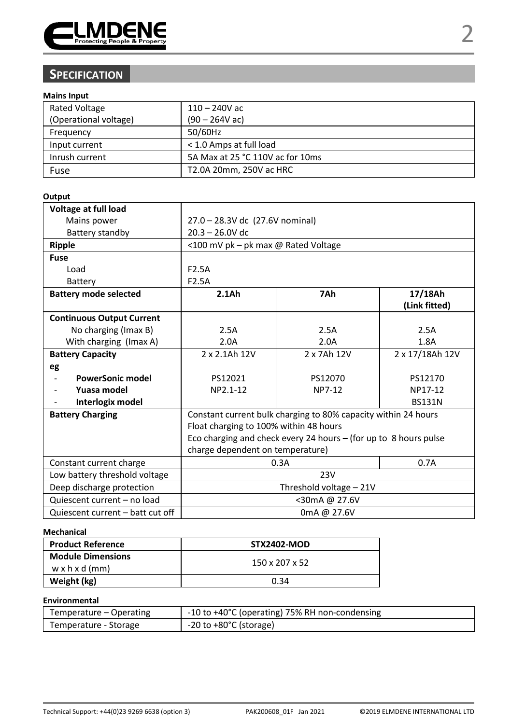

# **SPECIFICATION**

### **Mains Input**

| <b>Rated Voltage</b>  | $110 - 240V$ ac                  |
|-----------------------|----------------------------------|
| (Operational voltage) | $(90 - 264V ac)$                 |
| Frequency             | 50/60Hz                          |
| Input current         | < 1.0 Amps at full load          |
| Inrush current        | 5A Max at 25 °C 110V ac for 10ms |
| Fuse                  | T2.0A 20mm, 250V ac HRC          |

#### **Output**

| Voltage at full load             |                                                                    |         |               |  |
|----------------------------------|--------------------------------------------------------------------|---------|---------------|--|
| Mains power                      | 27.0 - 28.3V dc (27.6V nominal)                                    |         |               |  |
| Battery standby                  | $20.3 - 26.0V$ dc                                                  |         |               |  |
| Ripple                           | <100 mV pk - pk max @ Rated Voltage                                |         |               |  |
| Fuse                             |                                                                    |         |               |  |
| Load                             | F <sub>2.5</sub> A                                                 |         |               |  |
| Battery                          | F <sub>2.5</sub> A                                                 |         |               |  |
| <b>Battery mode selected</b>     | 2.1A <sub>h</sub>                                                  | 7Ah     | 17/18Ah       |  |
|                                  |                                                                    |         | (Link fitted) |  |
| <b>Continuous Output Current</b> |                                                                    |         |               |  |
| No charging (Imax B)             | 2.5A                                                               | 2.5A    | 2.5A          |  |
| With charging (Imax A)           | 2.0A                                                               | 2.0A    | 1.8A          |  |
| <b>Battery Capacity</b>          | 2 x 2.1Ah 12V<br>2 x 7Ah 12V<br>2 x 17/18Ah 12V                    |         |               |  |
| eg                               |                                                                    |         |               |  |
| <b>PowerSonic model</b>          | PS12021                                                            | PS12070 | PS12170       |  |
| Yuasa model                      | NP2.1-12                                                           | NP7-12  | NP17-12       |  |
| Interlogix model                 |                                                                    |         | <b>BS131N</b> |  |
| <b>Battery Charging</b>          | Constant current bulk charging to 80% capacity within 24 hours     |         |               |  |
|                                  | Float charging to 100% within 48 hours                             |         |               |  |
|                                  | Eco charging and check every 24 hours $-$ (for up to 8 hours pulse |         |               |  |
|                                  | charge dependent on temperature)                                   |         |               |  |
| Constant current charge          | 0.7A<br>0.3A                                                       |         |               |  |
| Low battery threshold voltage    | 23V                                                                |         |               |  |
| Deep discharge protection        | Threshold voltage - 21V                                            |         |               |  |
| Quiescent current - no load      | <30mA@ 27.6V                                                       |         |               |  |
| Quiescent current - batt cut off | 0mA @ 27.6V                                                        |         |               |  |

#### **Mechanical**

| <b>Product Reference</b>                               | <b>STX2402-MOD</b> |
|--------------------------------------------------------|--------------------|
| <b>Module Dimensions</b><br>$w \times h \times d$ (mm) | 150 x 207 x 52     |
| Weight (kg)                                            | 0.34               |

### **Environmental**

| Temperature – Operating | -10 to +40°C (operating) 75% RH non-condensing |  |
|-------------------------|------------------------------------------------|--|
| Temperature - Storage   | -20 to +80°C (storage)                         |  |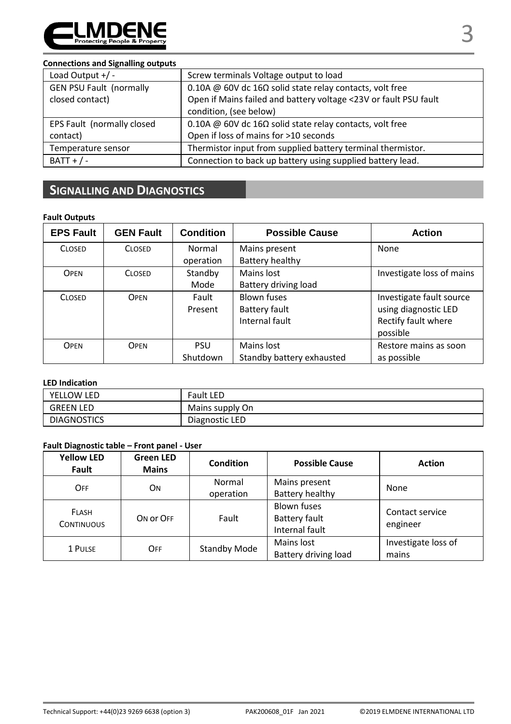

#### **Connections and Signalling outputs**

| Load Output $+/-$              | Screw terminals Voltage output to load                           |  |
|--------------------------------|------------------------------------------------------------------|--|
| <b>GEN PSU Fault (normally</b> | 0.10A @ 60V dc 16 $\Omega$ solid state relay contacts, volt free |  |
| closed contact)                | Open if Mains failed and battery voltage <23V or fault PSU fault |  |
|                                | condition, (see below)                                           |  |
| EPS Fault (normally closed     | 0.10A @ 60V dc 16 $\Omega$ solid state relay contacts, volt free |  |
| contact)                       | Open if loss of mains for >10 seconds                            |  |
| Temperature sensor             | Thermistor input from supplied battery terminal thermistor.      |  |
| $BAT + / -$                    | Connection to back up battery using supplied battery lead.       |  |

# **SIGNALLING AND DIAGNOSTICS**

#### **Fault Outputs**

| <b>EPS Fault</b> | <b>GEN Fault</b> | <b>Condition</b> | <b>Possible Cause</b>     | <b>Action</b>             |
|------------------|------------------|------------------|---------------------------|---------------------------|
| <b>CLOSED</b>    | <b>CLOSED</b>    | Normal           | Mains present             | None                      |
|                  |                  | operation        | Battery healthy           |                           |
| OPEN             | <b>CLOSED</b>    | Standby          | Mains lost                | Investigate loss of mains |
|                  |                  | Mode             | Battery driving load      |                           |
| <b>CLOSED</b>    | OPEN             | Fault            | <b>Blown fuses</b>        | Investigate fault source  |
|                  |                  | Present          | Battery fault             | using diagnostic LED      |
|                  |                  |                  | Internal fault            | Rectify fault where       |
|                  |                  |                  |                           | possible                  |
| OPEN             | <b>OPEN</b>      | <b>PSU</b>       | Mains lost                | Restore mains as soon     |
|                  |                  | Shutdown         | Standby battery exhausted | as possible               |

#### **LED Indication**

| YELLOW LED         | Fault LED       |
|--------------------|-----------------|
| GREEN LED          | Mains supply On |
| <b>DIAGNOSTICS</b> | Diagnostic LED  |

# **Fault Diagnostic table – Front panel - User**

| <b>Yellow LED</b><br>Fault        | <b>Green LED</b><br><b>Mains</b> | <b>Condition</b>    | <b>Possible Cause</b>                                 | <b>Action</b>                |
|-----------------------------------|----------------------------------|---------------------|-------------------------------------------------------|------------------------------|
| OFF                               | <b>ON</b>                        | Normal<br>operation | Mains present<br>Battery healthy                      | None                         |
| <b>FLASH</b><br><b>CONTINUOUS</b> | ON OF OFF                        | Fault               | <b>Blown fuses</b><br>Battery fault<br>Internal fault | Contact service<br>engineer  |
| 1 PULSE                           | OFF                              | Standby Mode        | Mains lost<br>Battery driving load                    | Investigate loss of<br>mains |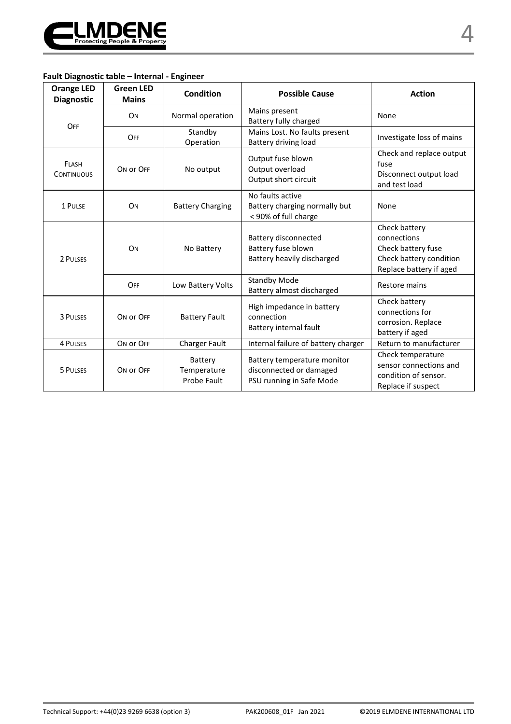

# **Fault Diagnostic table – Internal - Engineer**

| <b>Orange LED</b><br><b>Diagnostic</b> | <b>Green LED</b><br><b>Mains</b> | Condition                             | <b>Possible Cause</b>                                                              | <b>Action</b>                                                                                            |
|----------------------------------------|----------------------------------|---------------------------------------|------------------------------------------------------------------------------------|----------------------------------------------------------------------------------------------------------|
| OFF                                    | <b>O<sub>N</sub></b>             | Normal operation                      | Mains present<br>Battery fully charged                                             | None                                                                                                     |
|                                        | OFF                              | Standby<br>Operation                  | Mains Lost. No faults present<br>Battery driving load                              | Investigate loss of mains                                                                                |
| FLASH<br><b>CONTINUOUS</b>             | ON OF OFF                        | No output                             | Output fuse blown<br>Output overload<br>Output short circuit                       | Check and replace output<br>fuse<br>Disconnect output load<br>and test load                              |
| 1 PULSE                                | ON                               | <b>Battery Charging</b>               | No faults active<br>Battery charging normally but<br>< 90% of full charge          | None                                                                                                     |
| 2 PULSES                               | ON                               | No Battery                            | Battery disconnected<br>Battery fuse blown<br>Battery heavily discharged           | Check battery<br>connections<br>Check battery fuse<br>Check battery condition<br>Replace battery if aged |
|                                        | OFF                              | Low Battery Volts                     | <b>Standby Mode</b><br>Battery almost discharged                                   | Restore mains                                                                                            |
| 3 PULSES                               | ON OF OFF                        | <b>Battery Fault</b>                  | High impedance in battery<br>connection<br>Battery internal fault                  | Check battery<br>connections for<br>corrosion. Replace<br>battery if aged                                |
| 4 PULSES                               | ON OF OFF                        | Charger Fault                         | Internal failure of battery charger                                                | Return to manufacturer                                                                                   |
| 5 PULSES                               | ON OF OFF                        | Battery<br>Temperature<br>Probe Fault | Battery temperature monitor<br>disconnected or damaged<br>PSU running in Safe Mode | Check temperature<br>sensor connections and<br>condition of sensor.<br>Replace if suspect                |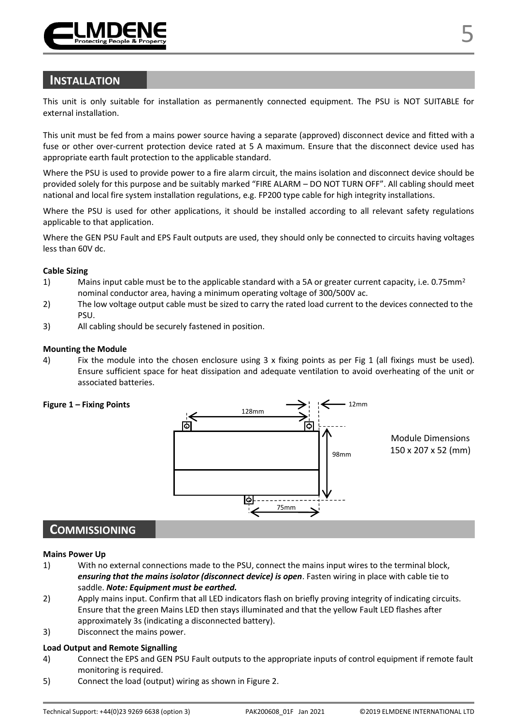

# **INSTALLATION**

This unit is only suitable for installation as permanently connected equipment. The PSU is NOT SUITABLE for external installation.

This unit must be fed from a mains power source having a separate (approved) disconnect device and fitted with a fuse or other over-current protection device rated at 5 A maximum. Ensure that the disconnect device used has appropriate earth fault protection to the applicable standard.

Where the PSU is used to provide power to a fire alarm circuit, the mains isolation and disconnect device should be provided solely for this purpose and be suitably marked "FIRE ALARM – DO NOT TURN OFF". All cabling should meet national and local fire system installation regulations, e.g. FP200 type cable for high integrity installations.

Where the PSU is used for other applications, it should be installed according to all relevant safety regulations applicable to that application.

Where the GEN PSU Fault and EPS Fault outputs are used, they should only be connected to circuits having voltages less than 60V dc.

#### **Cable Sizing**

- 1) Mains input cable must be to the applicable standard with a 5A or greater current capacity, i.e. 0.75mm<sup>2</sup> nominal conductor area, having a minimum operating voltage of 300/500V ac.
- 2) The low voltage output cable must be sized to carry the rated load current to the devices connected to the PSU.
- 3) All cabling should be securely fastened in position.

#### **Mounting the Module**

4) Fix the module into the chosen enclosure using 3 x fixing points as per Fig 1 (all fixings must be used). Ensure sufficient space for heat dissipation and adequate ventilation to avoid overheating of the unit or associated batteries.



# **COMMISSIONING**

#### **Mains Power Up**

- 1) With no external connections made to the PSU, connect the mains input wires to the terminal block, *ensuring that the mains isolator (disconnect device) is open*. Fasten wiring in place with cable tie to saddle. *Note: Equipment must be earthed.*
- 2) Apply mains input. Confirm that all LED indicators flash on briefly proving integrity of indicating circuits. Ensure that the green Mains LED then stays illuminated and that the yellow Fault LED flashes after approximately 3s (indicating a disconnected battery).
- 3) Disconnect the mains power.

#### **Load Output and Remote Signalling**

- 4) Connect the EPS and GEN PSU Fault outputs to the appropriate inputs of control equipment if remote fault monitoring is required.
- 5) Connect the load (output) wiring as shown in Figure 2.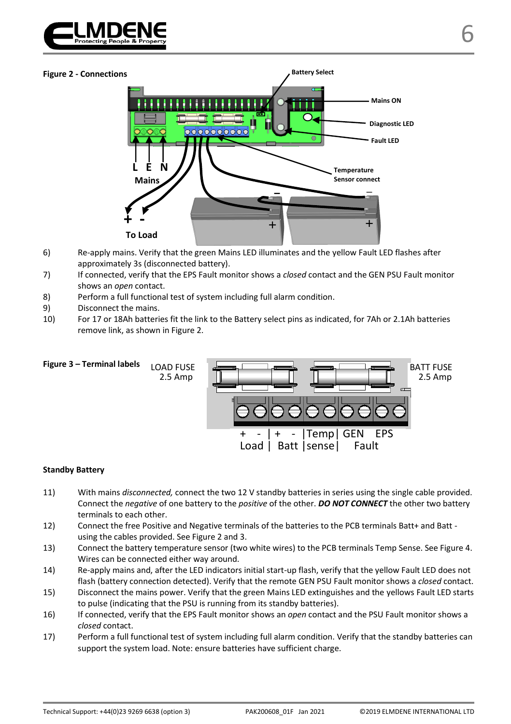



- 6) Re-apply mains. Verify that the green Mains LED illuminates and the yellow Fault LED flashes after approximately 3s (disconnected battery).
- 7) If connected, verify that the EPS Fault monitor shows a *closed* contact and the GEN PSU Fault monitor shows an *open* contact.
- 8) Perform a full functional test of system including full alarm condition.
- 9) Disconnect the mains.
- 10) For 17 or 18Ah batteries fit the link to the Battery select pins as indicated, for 7Ah or 2.1Ah batteries remove link, as shown in Figure 2.



#### **Standby Battery**

- 11) With mains *disconnected,* connect the two 12 V standby batteries in series using the single cable provided. Connect the *negative* of one battery to the *positive* of the other. *DO NOT CONNECT* the other two battery terminals to each other.
- 12) Connect the free Positive and Negative terminals of the batteries to the PCB terminals Batt+ and Batt using the cables provided. See Figure 2 and 3.
- 13) Connect the battery temperature sensor (two white wires) to the PCB terminals Temp Sense. See Figure 4. Wires can be connected either way around.
- 14) Re-apply mains and, after the LED indicators initial start-up flash, verify that the yellow Fault LED does not flash (battery connection detected). Verify that the remote GEN PSU Fault monitor shows a *closed* contact.
- 15) Disconnect the mains power. Verify that the green Mains LED extinguishes and the yellows Fault LED starts to pulse (indicating that the PSU is running from its standby batteries).
- 16) If connected, verify that the EPS Fault monitor shows an *open* contact and the PSU Fault monitor shows a *closed* contact.
- 17) Perform a full functional test of system including full alarm condition. Verify that the standby batteries can support the system load. Note: ensure batteries have sufficient charge.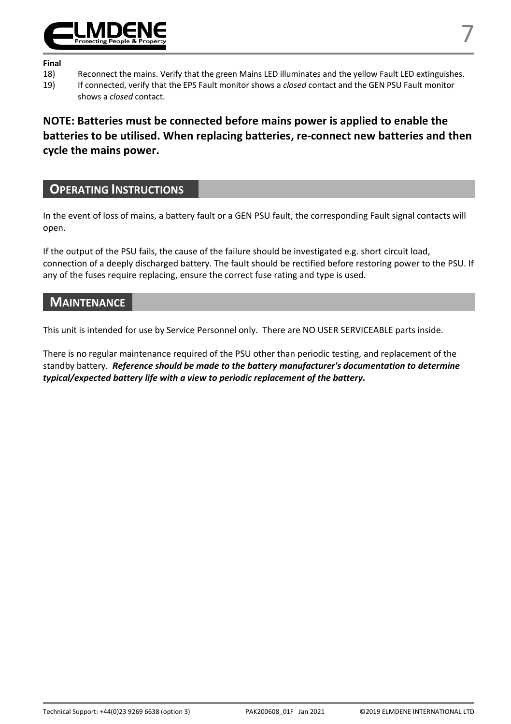

#### **Final**

- 
- 18) Reconnect the mains. Verify that the green Mains LED illuminates and the yellow Fault LED extinguishes.<br>19) If connected, verify that the EPS Fault monitor shows a closed contact and the GEN PSU Fault monitor 19) If connected, verify that the EPS Fault monitor shows a *closed* contact and the GEN PSU Fault monitor shows a *closed* contact.

**NOTE: Batteries must be connected before mains power is applied to enable the batteries to be utilised. When replacing batteries, re-connect new batteries and then cycle the mains power.** 

# **OPERATING INSTRUCTIONS**

In the event of loss of mains, a battery fault or a GEN PSU fault, the corresponding Fault signal contacts will open.

If the output of the PSU fails, the cause of the failure should be investigated e.g. short circuit load, connection of a deeply discharged battery. The fault should be rectified before restoring power to the PSU. If any of the fuses require replacing, ensure the correct fuse rating and type is used.

# **MAINTENANCE**

This unit is intended for use by Service Personnel only. There are NO USER SERVICEABLE parts inside.

There is no regular maintenance required of the PSU other than periodic testing, and replacement of the standby battery. *Reference should be made to the battery manufacturer's documentation to determine typical/expected battery life with a view to periodic replacement of the battery.*